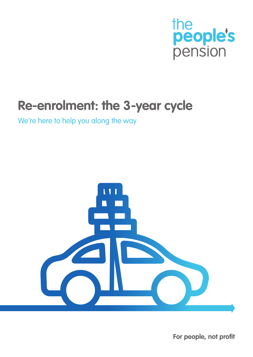

# **Re-enrolment: the 3-year cycle**

We're here to help you along the way



**For people, not profit**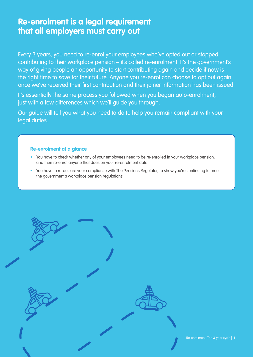### **Re-enrolment is a legal requirement that all employers must carry out**

Every 3 years, you need to re-enrol your employees who've opted out or stopped contributing to their workplace pension – it's called re-enrolment. It's the government's way of giving people an opportunity to start contributing again and decide if now is the right time to save for their future. Anyone you re-enrol can choose to opt out again once we've received their first contribution and their joiner information has been issued.

It's essentially the same process you followed when you began auto-enrolment, just with a few differences which we'll guide you through.

Our guide will tell you what you need to do to help you remain compliant with your legal duties.

### **Re-enrolment at a glance**

- You have to check whether any of your employees need to be re-enrolled in your workplace pension, and then re-enrol anyone that does on your re-enrolment date.
- You have to re-declare your compliance with The Pensions Regulator, to show you're continuing to meet the government's workplace pension regulations.

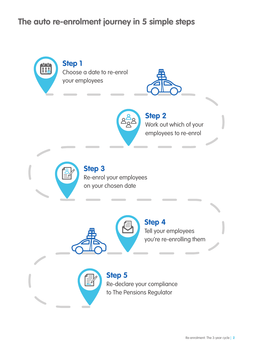## **The auto re-enrolment journey in 5 simple steps**

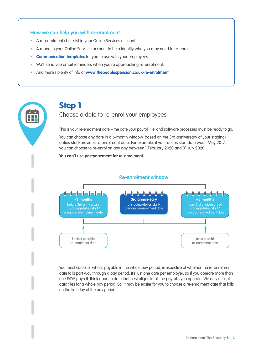### **How we can help you with re-enrolment**

- A re-enrolment checklist in your Online Services account.
- A report in your Online Services account to help identify who you may need to re-enrol.
- **• Communication templates** for you to use with your employees.
- We'll send you email reminders when you're approaching re-enrolment.
- And there's plenty of info at **www.thepeoplespension.co.uk/re-enrolment**



# Choose a date to re-enrol your employees

This is your re-enrolment date – the date your payroll, HR and software processes must be ready to go.

You can choose any date in a 6-month window, based on the 3rd anniversary of your staging/ duties start/previous re-enrolment date. For example, if your duties start date was 1 May 2017, you can choose to re-enrol on any day between 1 February 2020 and 31 July 2020.

**You can't use postponement for re-enrolment.**



### You must consider what's payable in the whole pay period, irrespective of whether the re-enrolment date falls part way through a pay period. It's just one date per employer, so if you operate more than one PAYE payroll, think about a date that best aligns to all the payrolls you operate. We only accept data files for a whole pay period. So, it may be easier for you to choose a re-enrolment date that falls

#### Re-enrolment: The 3-year cycle | **3**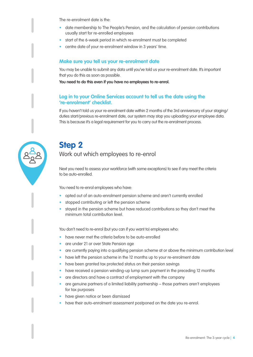The re-enrolment date is the:

- date membership to The People's Pension, and the calculation of pension contributions usually start for re-enrolled employees
- start of the 6-week period in which re-enrolment must be completed
- centre date of your re-enrolment window in 3 years' time.

### **Make sure you tell us your re-enrolment date**

You may be unable to submit any data until you've told us your re-enrolment date. It's important that you do this as soon as possible.

**You need to do this even if you have no employees to re-enrol.**

### **Log in to your Online Services account to tell us the date using the 're-enrolment' checklist.**

If you haven't told us your re-enrolment date within 2 months of the 3rd anniversary of your staging/ duties start/previous re-enrolment date, our system may stop you uploading your employee data. This is because it's a legal requirement for you to carry out the re-enrolment process.



### **Step 2** Work out which employees to re-enrol

Next you need to assess your workforce (with some exceptions) to see if any meet the criteria to be auto-enrolled.

You need to re-enrol employees who have:

- opted out of an auto-enrolment pension scheme and aren't currently enrolled
- stopped contributing or left the pension scheme
- stayed in the pension scheme but have reduced contributions so they don't meet the minimum total contribution level.

You don't need to re-enrol (but you can if you want to) employees who:

- have never met the criteria before to be auto-enrolled
- are under 21 or over State Pension age
- are currently paying into a qualifying pension scheme at or above the minimum contribution level
- have left the pension scheme in the 12 months up to your re-enrolment date
- have been granted tax protected status on their pension savings
- have received a pension winding-up lump sum payment in the preceding 12 months
- are directors and have a contract of employment with the company
- are genuine partners of a limited liability partnership those partners aren't employees for tax purposes
- have given notice or been dismissed
- have their auto-enrolment assessment postponed on the date you re-enrol.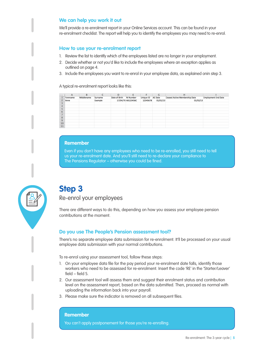### **We can help you work it out**

We'll provide a re-enrolment report in your Online Services account. This can be found in your re-enrolment checklist. The report will help you to identify the employees you may need to re-enrol.

### **How to use your re-enrolment report**

- 1. Review the list to identify which of the employees listed are no longer in your employment.
- 2. Decide whether or not you'd like to include the employees where an exception applies as outlined on page 4.
- 3. Include the employees you want to re-enrol in your employee data, as explained onin step 3.

A typical re-enrolment report looks like this:

|                | A        | в          |         | D             | н                  |                  | G              | н                                    |                            |
|----------------|----------|------------|---------|---------------|--------------------|------------------|----------------|--------------------------------------|----------------------------|
|                | Forename | Middlename | Surname | Date of Birth | Ni Number          | <b>Unique ID</b> | <b>AE Date</b> | <b>Ceased Active Membership Date</b> | <b>Employment End Date</b> |
| $\overline{2}$ | Anne     |            | Example |               | 17/04/70 AB123456C | 12345678         | 01/01/13       | 01/02/13                             |                            |
| 3              |          |            |         |               |                    |                  |                |                                      |                            |
| 4              |          |            |         |               |                    |                  |                |                                      |                            |
| 5              |          |            |         |               |                    |                  |                |                                      |                            |
| 6              |          |            |         |               |                    |                  |                |                                      |                            |
| ⇁              |          |            |         |               |                    |                  |                |                                      |                            |
| 8              |          |            |         |               |                    |                  |                |                                      |                            |
| 9              |          |            |         |               |                    |                  |                |                                      |                            |
| 10             |          |            |         |               |                    |                  |                |                                      |                            |
| 11             |          |            |         |               |                    |                  |                |                                      |                            |

#### **Remember**

Even if you don't have any employees who need to be re-enrolled, you still need to tell us your re-enrolment date. And you'll still need to re-declare your compliance to The Pensions Regulator – otherwise you could be fined.



# **Step 3**

Re-enrol your employees

There are different ways to do this, depending on how you assess your employee pension contributions at the moment.

### **Do you use The People's Pension assessment tool?**

There's no separate employee data submission for re-enrolment. It'll be processed on your usual employee data submission with your normal contributions.

To re-enrol using your assessment tool, follow these steps:

- 1. On your employee data file for the pay period your re-enrolment date falls, identify those workers who need to be assessed for re-enrolment. Insert the code 'RE' in the 'Starter/Leaver' field – field S.
- 2. Our assessment tool will assess them and suggest their enrolment status and contribution level on the assessment report, based on the data submitted. Then, proceed as normal with uploading the information back into your payroll.
- 3. Please make sure the indicator is removed on all subsequent files.

#### **Remember**

You can't apply postponement for those you're re-enrolling.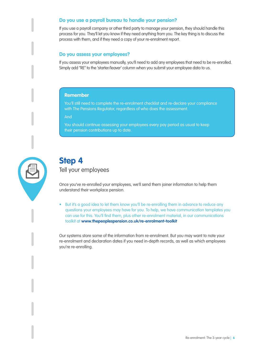### **Do you use a payroll bureau to handle your pension?**

If you use a payroll company or other third party to manage your pension, they should handle this process for you. They'll let you know if they need anything from you. The key thing is to discuss the process with them, and if they need a copy of your re-enrolment report.

### **Do you assess your employees?**

If you assess your employees manually, you'll need to add any employees that need to be re-enrolled. Simply add "RE" to the 'starter/leaver' column when you submit your employee data to us.

### **Remember**

You'll still need to complete the re-enrolment checklist and re-declare your compliance with The Pensions Regulator, regardless of who does the assessment.

And

You should continue assessing your employees every pay period as usual to keep their pension contributions up to date.



### **Step 4**

Tell your employees

Once you've re-enrolled your employees, we'll send them joiner information to help them understand their workplace pension.

• But it's a good idea to let them know you'll be re-enrolling them in advance to reduce any questions your employees may have for you. To help, we have communication templates you can use for this. You'll find them, plus other re-enrolment material, in our communications toolkit at **www.thepeoplespension.co.uk/re-enrolment-toolkit**

Our systems store some of the information from re-enrolment. But you may want to note your re-enrolment and declaration dates if you need in-depth records, as well as which employees you're re-enrolling.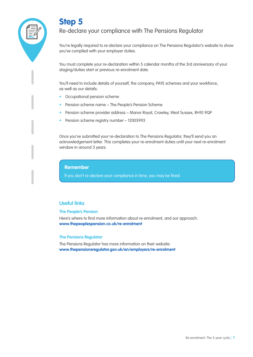

## **Step 5**

### Re-declare your compliance with The Pensions Regulator

You're legally required to re-declare your compliance on The Pensions Regulator's website to show you've complied with your employer duties.

You must complete your re-declaration within 5 calendar months of the 3rd anniversary of your staging/duties start or previous re-enrolment date.

You'll need to include details of yourself, the company, PAYE schemes and your workforce, as well as our details:

- Occupational pension scheme
- Pension scheme name The People's Pension Scheme
- Pension scheme provider address Manor Royal, Crawley, West Sussex, RH10 9QP
- Pension scheme registry number 12005993

Once you've submitted your re-declaration to The Pensions Regulator, they'll send you an acknowledgement letter. This completes your re-enrolment duties until your next re-enrolment window in around 3 years.

**Remember**

If you don't re-declare your compliance in time, you may be fined.

### **Useful links**

#### **The People's Pension**

Here's where to find more information about re-enrolment, and our approach: **www.thepeoplespension.co.uk/re-enrolment**

#### **The Pensions Regulator**

The Pensions Regulator has more information on their website: **www.thepensionsregulator.gov.uk/en/employers/re-enrolment**